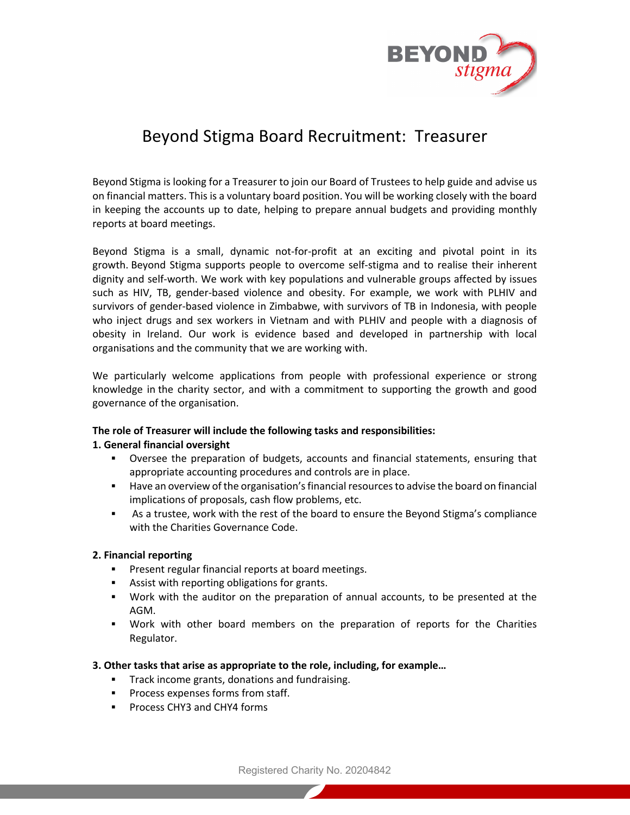

# Beyond Stigma Board Recruitment: Treasurer

Beyond Stigma is looking for a Treasurer to join our Board of Trustees to help guide and advise us on financial matters. This is a voluntary board position. You will be working closely with the board in keeping the accounts up to date, helping to prepare annual budgets and providing monthly reports at board meetings.

Beyond Stigma is a small, dynamic not-for-profit at an exciting and pivotal point in its growth. Beyond Stigma supports people to overcome self-stigma and to realise their inherent dignity and self-worth. We work with key populations and vulnerable groups affected by issues such as HIV, TB, gender-based violence and obesity. For example, we work with PLHIV and survivors of gender-based violence in Zimbabwe, with survivors of TB in Indonesia, with people who inject drugs and sex workers in Vietnam and with PLHIV and people with a diagnosis of obesity in Ireland. Our work is evidence based and developed in partnership with local organisations and the community that we are working with.

We particularly welcome applications from people with professional experience or strong knowledge in the charity sector, and with a commitment to supporting the growth and good governance of the organisation.

## **The role of Treasurer will include the following tasks and responsibilities:**

## **1. General financial oversight**

- § Oversee the preparation of budgets, accounts and financial statements, ensuring that appropriate accounting procedures and controls are in place.
- **■** Have an overview of the organisation's financial resources to advise the board on financial implications of proposals, cash flow problems, etc.
- § As a trustee, work with the rest of the board to ensure the Beyond Stigma's compliance with the Charities Governance Code.

## **2. Financial reporting**

- Present regular financial reports at board meetings.
- **EXECUTE:** Assist with reporting obligations for grants.
- § Work with the auditor on the preparation of annual accounts, to be presented at the AGM.
- § Work with other board members on the preparation of reports for the Charities Regulator.
- **3. Other tasks that arise as appropriate to the role, including, for example…**
	- **Track income grants, donations and fundraising.**
	- § Process expenses forms from staff.
	- § Process CHY3 and CHY4 forms

Registered Charity No. 20204842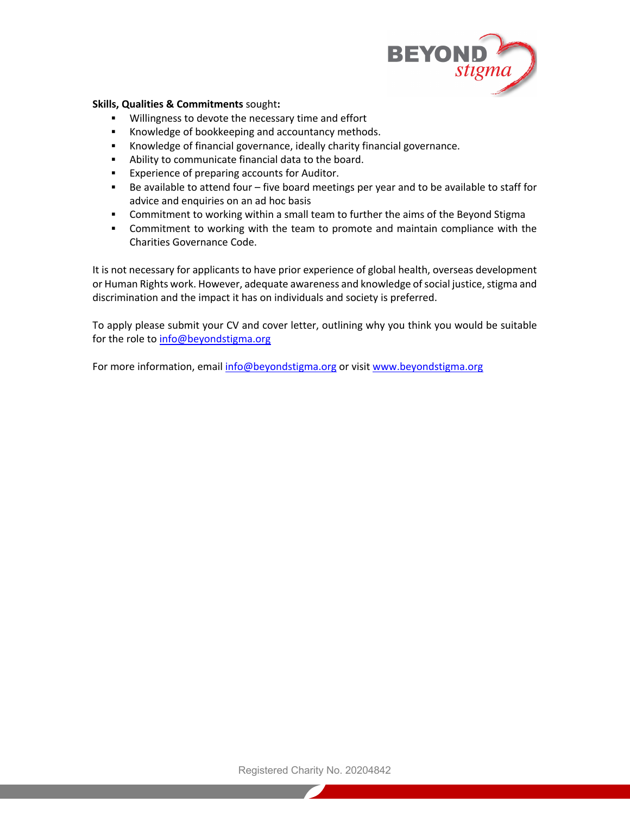

### **Skills, Qualities & Commitments** sought**:**

- § Willingness to devote the necessary time and effort
- Knowledge of bookkeeping and accountancy methods.
- § Knowledge of financial governance, ideally charity financial governance.
- § Ability to communicate financial data to the board.
- Experience of preparing accounts for Auditor.
- Be available to attend four five board meetings per year and to be available to staff for advice and enquiries on an ad hoc basis
- § Commitment to working within a small team to further the aims of the Beyond Stigma
- § Commitment to working with the team to promote and maintain compliance with the Charities Governance Code.

It is not necessary for applicants to have prior experience of global health, overseas development or Human Rights work. However, adequate awareness and knowledge of social justice, stigma and discrimination and the impact it has on individuals and society is preferred.

To apply please submit your CV and cover letter, outlining why you think you would be suitable for the role to info@beyondstigma.org

For more information, email info@beyondstigma.org or visit www.beyondstigma.org